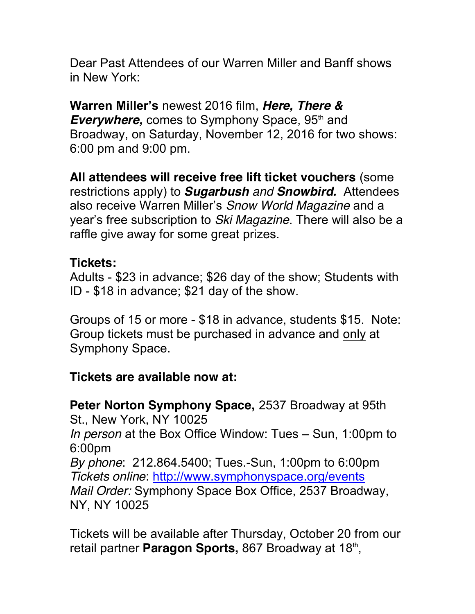Dear Past Attendees of our Warren Miller and Banff shows in New York:

**Warren Miller's** newest 2016 film, *Here, There &*  **Everywhere, comes to Symphony Space, 95<sup>th</sup> and** Broadway, on Saturday, November 12, 2016 for two shows: 6:00 pm and 9:00 pm.

**All attendees will receive free lift ticket vouchers** (some restrictions apply) to *Sugarbush and Snowbird.* Attendees also receive Warren Miller's *Snow World Magazine* and a year's free subscription to *Ski Magazine*. There will also be a raffle give away for some great prizes.

## **Tickets:**

Adults - \$23 in advance; \$26 day of the show; Students with ID - \$18 in advance; \$21 day of the show.

Groups of 15 or more - \$18 in advance, students \$15. Note: Group tickets must be purchased in advance and only at Symphony Space.

## **Tickets are available now at:**

**Peter Norton Symphony Space,** 2537 Broadway at 95th St., New York, NY 10025 *In person* at the Box Office Window: Tues – Sun, 1:00pm to 6:00pm *By phone*: 212.864.5400; Tues.-Sun, 1:00pm to 6:00pm *Tickets online*: http://www.symphonyspace.org/events *Mail Order:* Symphony Space Box Office, 2537 Broadway, NY, NY 10025

Tickets will be available after Thursday, October 20 from our retail partner **Paragon Sports**, 867 Broadway at 18<sup>th</sup>,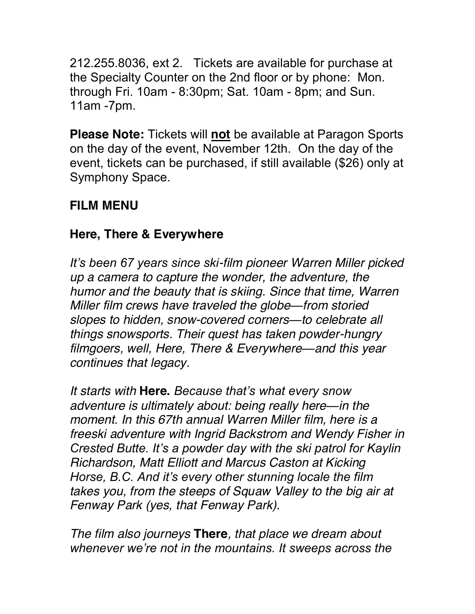212.255.8036, ext 2. Tickets are available for purchase at the Specialty Counter on the 2nd floor or by phone: Mon. through Fri. 10am - 8:30pm; Sat. 10am - 8pm; and Sun. 11am -7pm.

**Please Note:** Tickets will **not** be available at Paragon Sports on the day of the event, November 12th. On the day of the event, tickets can be purchased, if still available (\$26) only at Symphony Space.

# **FILM MENU**

## **Here, There & Everywhere**

*It's been 67 years since ski-film pioneer Warren Miller picked up a camera to capture the wonder, the adventure, the humor and the beauty that is skiing. Since that time, Warren Miller film crews have traveled the globe—from storied slopes to hidden, snow-covered corners—to celebrate all things snowsports. Their quest has taken powder-hungry filmgoers, well, Here, There & Everywhere—and this year continues that legacy.*

*It starts with* **Here.** *Because that's what every snow adventure is ultimately about: being really here—in the moment. In this 67th annual Warren Miller film, here is a freeski adventure with Ingrid Backstrom and Wendy Fisher in Crested Butte. It's a powder day with the ski patrol for Kaylin Richardson, Matt Elliott and Marcus Caston at Kicking Horse, B.C. And it's every other stunning locale the film takes you, from the steeps of Squaw Valley to the big air at Fenway Park (yes, that Fenway Park).*

*The film also journeys* **There***, that place we dream about whenever we're not in the mountains. It sweeps across the*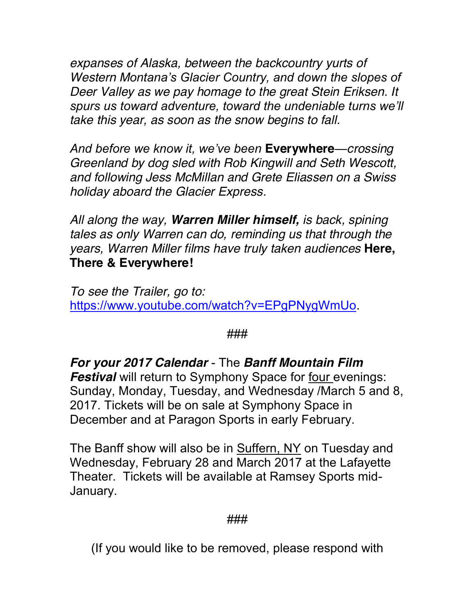*expanses of Alaska, between the backcountry yurts of Western Montana's Glacier Country, and down the slopes of Deer Valley as we pay homage to the great Stein Eriksen. It spurs us toward adventure, toward the undeniable turns we'll take this year, as soon as the snow begins to fall.*

*And before we know it, we've been* **Everywhere***—crossing Greenland by dog sled with Rob Kingwill and Seth Wescott, and following Jess McMillan and Grete Eliassen on a Swiss holiday aboard the Glacier Express.*

*All along the way, Warren Miller himself, is back, spining tales as only Warren can do, reminding us that through the years, Warren Miller films have truly taken audiences* **Here, There & Everywhere!**

*To see the Trailer, go to:* https://www.youtube.com/watch?v=EPgPNygWmUo.

### ###

*For your 2017 Calendar* - The *Banff Mountain Film Festival* will return to Symphony Space for four evenings: Sunday, Monday, Tuesday, and Wednesday /March 5 and 8, 2017. Tickets will be on sale at Symphony Space in December and at Paragon Sports in early February.

The Banff show will also be in Suffern, NY on Tuesday and Wednesday, February 28 and March 2017 at the Lafayette Theater. Tickets will be available at Ramsey Sports mid-January.

#### ###

(If you would like to be removed, please respond with